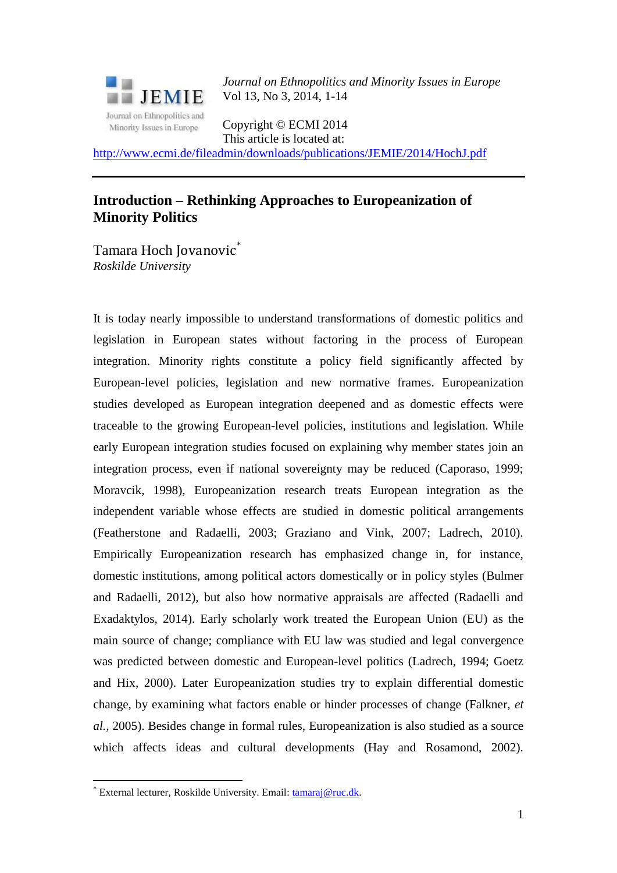

*Journal on Ethnopolitics and Minority Issues in Europe* Vol 13, No 3, 2014, 1-14

Copyright © ECMI 2014 This article is located at:

<http://www.ecmi.de/fileadmin/downloads/publications/JEMIE/2014/HochJ.pdf>

## **Introduction – Rethinking Approaches to Europeanization of Minority Politics**

Tamara Hoch Jovanovic<sup>\*</sup> *Roskilde University* 

It is today nearly impossible to understand transformations of domestic politics and legislation in European states without factoring in the process of European integration. Minority rights constitute a policy field significantly affected by European-level policies, legislation and new normative frames. Europeanization studies developed as European integration deepened and as domestic effects were traceable to the growing European-level policies, institutions and legislation. While early European integration studies focused on explaining why member states join an integration process, even if national sovereignty may be reduced (Caporaso, 1999; Moravcik, 1998), Europeanization research treats European integration as the independent variable whose effects are studied in domestic political arrangements (Featherstone and Radaelli, 2003; Graziano and Vink, 2007; Ladrech, 2010). Empirically Europeanization research has emphasized change in, for instance, domestic institutions, among political actors domestically or in policy styles (Bulmer and Radaelli, 2012), but also how normative appraisals are affected (Radaelli and Exadaktylos, 2014). Early scholarly work treated the European Union (EU) as the main source of change; compliance with EU law was studied and legal convergence was predicted between domestic and European-level politics (Ladrech, 1994; Goetz and Hix, 2000). Later Europeanization studies try to explain differential domestic change, by examining what factors enable or hinder processes of change (Falkner, *et al.,* 2005). Besides change in formal rules, Europeanization is also studied as a source which affects ideas and cultural developments (Hay and Rosamond, 2002).

1

<sup>\*</sup> External lecturer, Roskilde University. Email: [tamaraj@ruc.dk.](mailto:tamaraj@ruc.dk)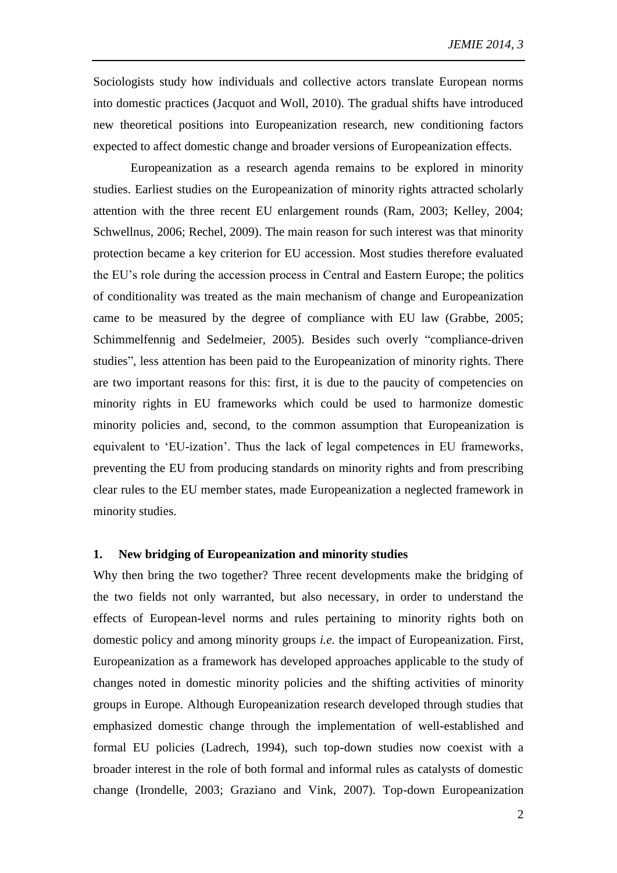Sociologists study how individuals and collective actors translate European norms into domestic practices (Jacquot and Woll, 2010). The gradual shifts have introduced new theoretical positions into Europeanization research, new conditioning factors expected to affect domestic change and broader versions of Europeanization effects.

Europeanization as a research agenda remains to be explored in minority studies. Earliest studies on the Europeanization of minority rights attracted scholarly attention with the three recent EU enlargement rounds (Ram, 2003; Kelley, 2004; Schwellnus, 2006; Rechel, 2009). The main reason for such interest was that minority protection became a key criterion for EU accession. Most studies therefore evaluated the EU's role during the accession process in Central and Eastern Europe; the politics of conditionality was treated as the main mechanism of change and Europeanization came to be measured by the degree of compliance with EU law (Grabbe, 2005; Schimmelfennig and Sedelmeier, 2005). Besides such overly "compliance-driven studies", less attention has been paid to the Europeanization of minority rights. There are two important reasons for this: first, it is due to the paucity of competencies on minority rights in EU frameworks which could be used to harmonize domestic minority policies and, second, to the common assumption that Europeanization is equivalent to 'EU-ization'. Thus the lack of legal competences in EU frameworks, preventing the EU from producing standards on minority rights and from prescribing clear rules to the EU member states, made Europeanization a neglected framework in minority studies.

## **1. New bridging of Europeanization and minority studies**

Why then bring the two together? Three recent developments make the bridging of the two fields not only warranted, but also necessary, in order to understand the effects of European-level norms and rules pertaining to minority rights both on domestic policy and among minority groups *i.e.* the impact of Europeanization. First, Europeanization as a framework has developed approaches applicable to the study of changes noted in domestic minority policies and the shifting activities of minority groups in Europe. Although Europeanization research developed through studies that emphasized domestic change through the implementation of well-established and formal EU policies (Ladrech, 1994), such top-down studies now coexist with a broader interest in the role of both formal and informal rules as catalysts of domestic change (Irondelle, 2003; Graziano and Vink, 2007). Top-down Europeanization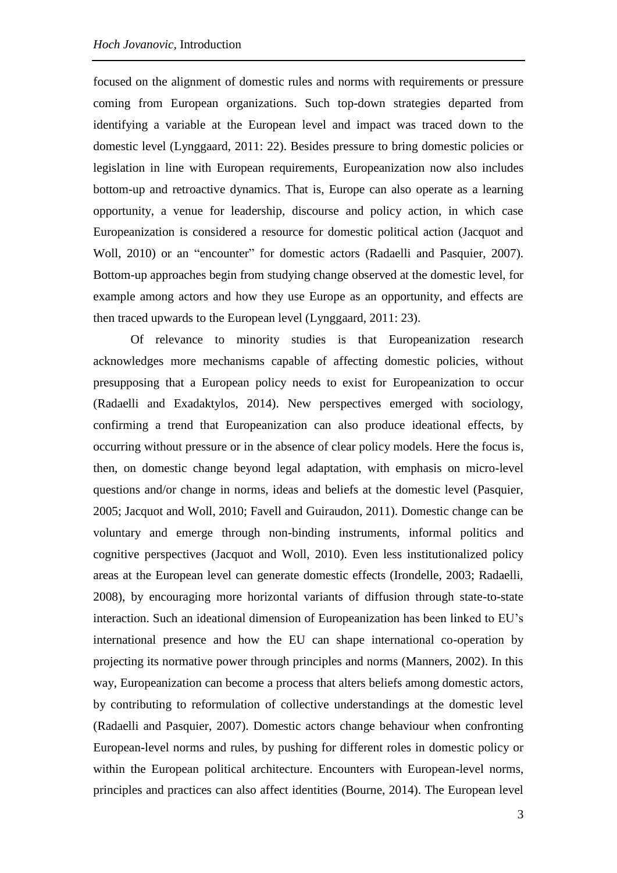focused on the alignment of domestic rules and norms with requirements or pressure coming from European organizations. Such top-down strategies departed from identifying a variable at the European level and impact was traced down to the domestic level (Lynggaard, 2011: 22). Besides pressure to bring domestic policies or legislation in line with European requirements, Europeanization now also includes bottom-up and retroactive dynamics. That is, Europe can also operate as a learning opportunity, a venue for leadership, discourse and policy action, in which case Europeanization is considered a resource for domestic political action (Jacquot and Woll, 2010) or an "encounter" for domestic actors (Radaelli and Pasquier, 2007). Bottom-up approaches begin from studying change observed at the domestic level, for example among actors and how they use Europe as an opportunity, and effects are then traced upwards to the European level (Lynggaard, 2011: 23).

Of relevance to minority studies is that Europeanization research acknowledges more mechanisms capable of affecting domestic policies, without presupposing that a European policy needs to exist for Europeanization to occur (Radaelli and Exadaktylos, 2014). New perspectives emerged with sociology, confirming a trend that Europeanization can also produce ideational effects, by occurring without pressure or in the absence of clear policy models. Here the focus is, then, on domestic change beyond legal adaptation, with emphasis on micro-level questions and/or change in norms, ideas and beliefs at the domestic level (Pasquier, 2005; Jacquot and Woll, 2010; Favell and Guiraudon, 2011). Domestic change can be voluntary and emerge through non-binding instruments, informal politics and cognitive perspectives (Jacquot and Woll, 2010). Even less institutionalized policy areas at the European level can generate domestic effects (Irondelle, 2003; Radaelli, 2008), by encouraging more horizontal variants of diffusion through state-to-state interaction. Such an ideational dimension of Europeanization has been linked to EU's international presence and how the EU can shape international co-operation by projecting its normative power through principles and norms (Manners, 2002). In this way, Europeanization can become a process that alters beliefs among domestic actors, by contributing to reformulation of collective understandings at the domestic level (Radaelli and Pasquier, 2007). Domestic actors change behaviour when confronting European-level norms and rules, by pushing for different roles in domestic policy or within the European political architecture. Encounters with European-level norms, principles and practices can also affect identities (Bourne, 2014). The European level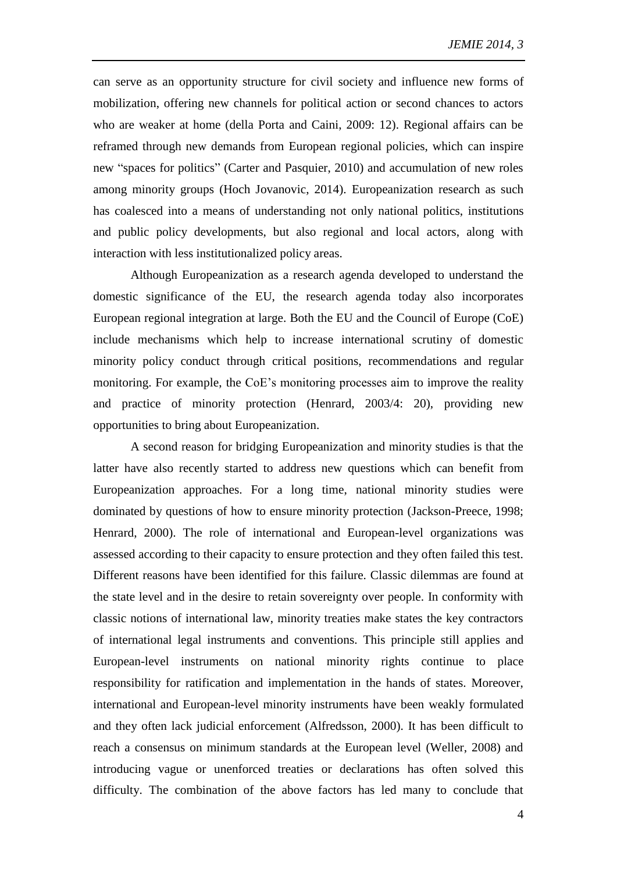can serve as an opportunity structure for civil society and influence new forms of mobilization, offering new channels for political action or second chances to actors who are weaker at home (della Porta and Caini, 2009: 12). Regional affairs can be reframed through new demands from European regional policies, which can inspire new "spaces for politics" (Carter and Pasquier, 2010) and accumulation of new roles among minority groups (Hoch Jovanovic, 2014). Europeanization research as such has coalesced into a means of understanding not only national politics, institutions and public policy developments, but also regional and local actors, along with interaction with less institutionalized policy areas.

Although Europeanization as a research agenda developed to understand the domestic significance of the EU, the research agenda today also incorporates European regional integration at large. Both the EU and the Council of Europe (CoE) include mechanisms which help to increase international scrutiny of domestic minority policy conduct through critical positions, recommendations and regular monitoring. For example, the CoE's monitoring processes aim to improve the reality and practice of minority protection (Henrard, 2003/4: 20), providing new opportunities to bring about Europeanization.

A second reason for bridging Europeanization and minority studies is that the latter have also recently started to address new questions which can benefit from Europeanization approaches. For a long time, national minority studies were dominated by questions of how to ensure minority protection (Jackson-Preece, 1998; Henrard, 2000). The role of international and European-level organizations was assessed according to their capacity to ensure protection and they often failed this test. Different reasons have been identified for this failure. Classic dilemmas are found at the state level and in the desire to retain sovereignty over people. In conformity with classic notions of international law, minority treaties make states the key contractors of international legal instruments and conventions. This principle still applies and European-level instruments on national minority rights continue to place responsibility for ratification and implementation in the hands of states. Moreover, international and European-level minority instruments have been weakly formulated and they often lack judicial enforcement (Alfredsson, 2000). It has been difficult to reach a consensus on minimum standards at the European level (Weller, 2008) and introducing vague or unenforced treaties or declarations has often solved this difficulty. The combination of the above factors has led many to conclude that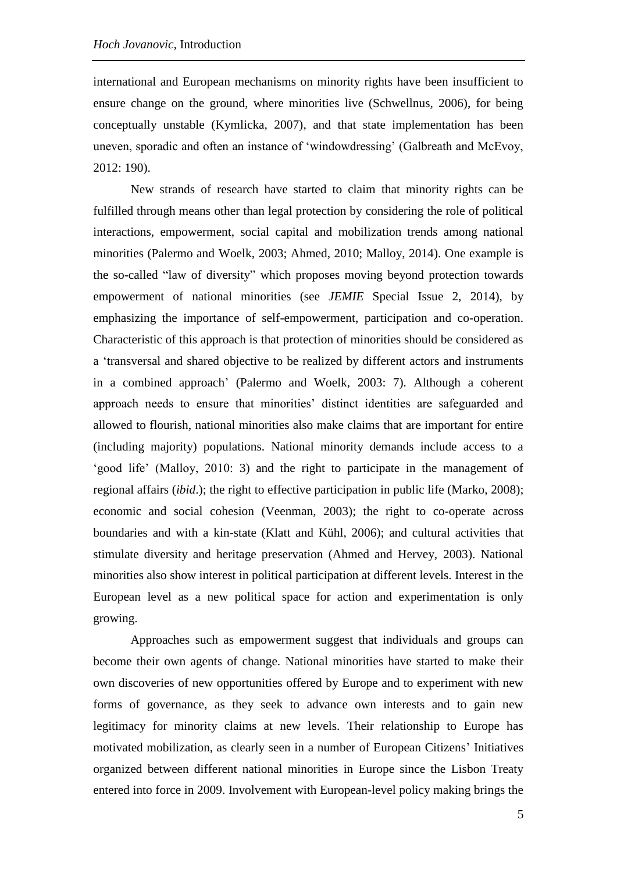international and European mechanisms on minority rights have been insufficient to ensure change on the ground, where minorities live (Schwellnus, 2006), for being conceptually unstable (Kymlicka, 2007), and that state implementation has been uneven, sporadic and often an instance of 'windowdressing' (Galbreath and McEvoy, 2012: 190).

New strands of research have started to claim that minority rights can be fulfilled through means other than legal protection by considering the role of political interactions, empowerment, social capital and mobilization trends among national minorities (Palermo and Woelk, 2003; Ahmed, 2010; Malloy, 2014). One example is the so-called "law of diversity" which proposes moving beyond protection towards empowerment of national minorities (see *JEMIE* Special Issue 2, 2014), by emphasizing the importance of self-empowerment, participation and co-operation. Characteristic of this approach is that protection of minorities should be considered as a 'transversal and shared objective to be realized by different actors and instruments in a combined approach' (Palermo and Woelk, 2003: 7). Although a coherent approach needs to ensure that minorities' distinct identities are safeguarded and allowed to flourish, national minorities also make claims that are important for entire (including majority) populations. National minority demands include access to a 'good life' (Malloy, 2010: 3) and the right to participate in the management of regional affairs (*ibid*.); the right to effective participation in public life (Marko, 2008); economic and social cohesion (Veenman, 2003); the right to co-operate across boundaries and with a kin-state (Klatt and Kühl, 2006); and cultural activities that stimulate diversity and heritage preservation (Ahmed and Hervey, 2003). National minorities also show interest in political participation at different levels. Interest in the European level as a new political space for action and experimentation is only growing.

Approaches such as empowerment suggest that individuals and groups can become their own agents of change. National minorities have started to make their own discoveries of new opportunities offered by Europe and to experiment with new forms of governance, as they seek to advance own interests and to gain new legitimacy for minority claims at new levels. Their relationship to Europe has motivated mobilization, as clearly seen in a number of European Citizens' Initiatives organized between different national minorities in Europe since the Lisbon Treaty entered into force in 2009. Involvement with European-level policy making brings the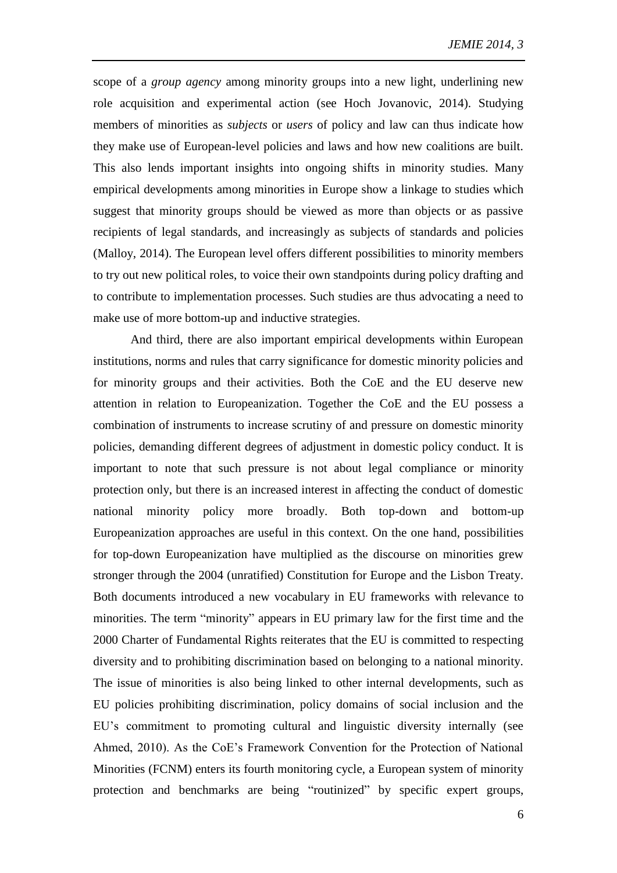scope of a *group agency* among minority groups into a new light, underlining new role acquisition and experimental action (see Hoch Jovanovic, 2014). Studying members of minorities as *subjects* or *users* of policy and law can thus indicate how they make use of European-level policies and laws and how new coalitions are built. This also lends important insights into ongoing shifts in minority studies. Many empirical developments among minorities in Europe show a linkage to studies which suggest that minority groups should be viewed as more than objects or as passive recipients of legal standards, and increasingly as subjects of standards and policies (Malloy, 2014). The European level offers different possibilities to minority members to try out new political roles, to voice their own standpoints during policy drafting and to contribute to implementation processes. Such studies are thus advocating a need to make use of more bottom-up and inductive strategies.

And third, there are also important empirical developments within European institutions, norms and rules that carry significance for domestic minority policies and for minority groups and their activities. Both the CoE and the EU deserve new attention in relation to Europeanization. Together the CoE and the EU possess a combination of instruments to increase scrutiny of and pressure on domestic minority policies, demanding different degrees of adjustment in domestic policy conduct. It is important to note that such pressure is not about legal compliance or minority protection only, but there is an increased interest in affecting the conduct of domestic national minority policy more broadly. Both top-down and bottom-up Europeanization approaches are useful in this context. On the one hand, possibilities for top-down Europeanization have multiplied as the discourse on minorities grew stronger through the 2004 (unratified) Constitution for Europe and the Lisbon Treaty. Both documents introduced a new vocabulary in EU frameworks with relevance to minorities. The term "minority" appears in EU primary law for the first time and the 2000 Charter of Fundamental Rights reiterates that the EU is committed to respecting diversity and to prohibiting discrimination based on belonging to a national minority. The issue of minorities is also being linked to other internal developments, such as EU policies prohibiting discrimination, policy domains of social inclusion and the EU's commitment to promoting cultural and linguistic diversity internally (see Ahmed, 2010). As the CoE's Framework Convention for the Protection of National Minorities (FCNM) enters its fourth monitoring cycle, a European system of minority protection and benchmarks are being "routinized" by specific expert groups,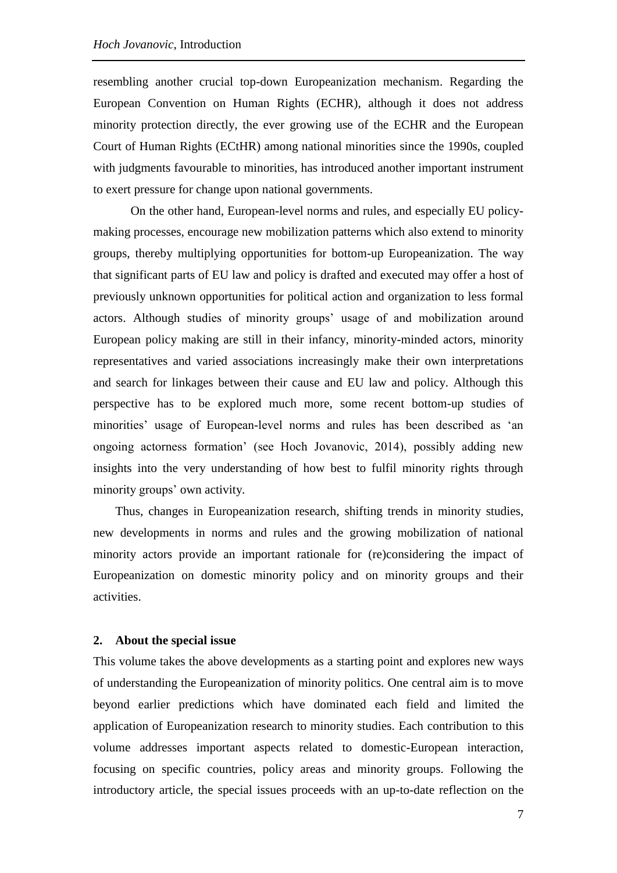resembling another crucial top-down Europeanization mechanism. Regarding the European Convention on Human Rights (ECHR), although it does not address minority protection directly, the ever growing use of the ECHR and the European Court of Human Rights (ECtHR) among national minorities since the 1990s, coupled with judgments favourable to minorities, has introduced another important instrument to exert pressure for change upon national governments.

On the other hand, European-level norms and rules, and especially EU policymaking processes, encourage new mobilization patterns which also extend to minority groups, thereby multiplying opportunities for bottom-up Europeanization. The way that significant parts of EU law and policy is drafted and executed may offer a host of previously unknown opportunities for political action and organization to less formal actors. Although studies of minority groups' usage of and mobilization around European policy making are still in their infancy, minority-minded actors, minority representatives and varied associations increasingly make their own interpretations and search for linkages between their cause and EU law and policy. Although this perspective has to be explored much more, some recent bottom-up studies of minorities' usage of European-level norms and rules has been described as 'an ongoing actorness formation' (see Hoch Jovanovic, 2014), possibly adding new insights into the very understanding of how best to fulfil minority rights through minority groups' own activity.

Thus, changes in Europeanization research, shifting trends in minority studies, new developments in norms and rules and the growing mobilization of national minority actors provide an important rationale for (re)considering the impact of Europeanization on domestic minority policy and on minority groups and their activities.

## **2. About the special issue**

This volume takes the above developments as a starting point and explores new ways of understanding the Europeanization of minority politics. One central aim is to move beyond earlier predictions which have dominated each field and limited the application of Europeanization research to minority studies. Each contribution to this volume addresses important aspects related to domestic-European interaction, focusing on specific countries, policy areas and minority groups. Following the introductory article, the special issues proceeds with an up-to-date reflection on the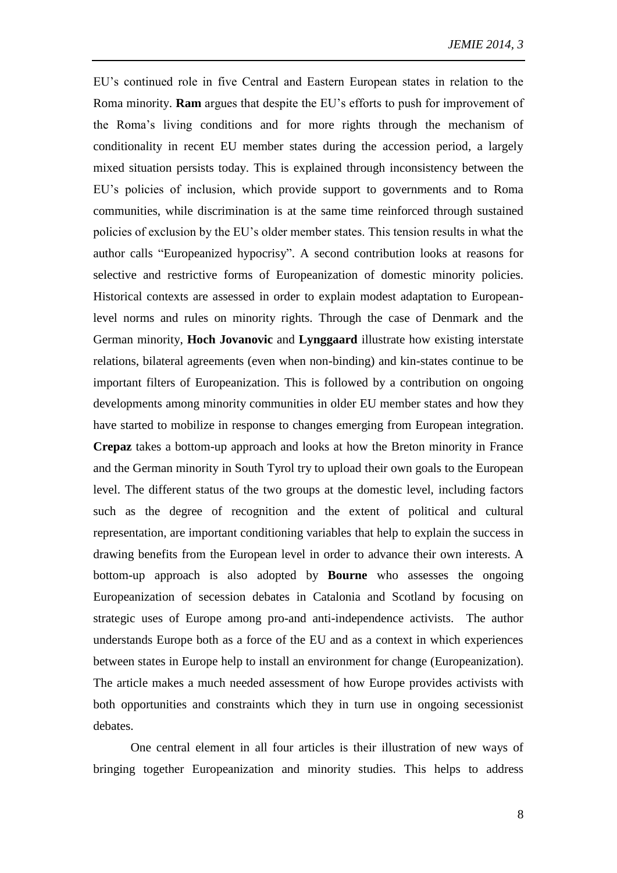EU's continued role in five Central and Eastern European states in relation to the Roma minority. **Ram** argues that despite the EU's efforts to push for improvement of the Roma's living conditions and for more rights through the mechanism of conditionality in recent EU member states during the accession period, a largely mixed situation persists today. This is explained through inconsistency between the EU's policies of inclusion, which provide support to governments and to Roma communities, while discrimination is at the same time reinforced through sustained policies of exclusion by the EU's older member states. This tension results in what the author calls "Europeanized hypocrisy". A second contribution looks at reasons for selective and restrictive forms of Europeanization of domestic minority policies. Historical contexts are assessed in order to explain modest adaptation to Europeanlevel norms and rules on minority rights. Through the case of Denmark and the German minority, **Hoch Jovanovic** and **Lynggaard** illustrate how existing interstate relations, bilateral agreements (even when non-binding) and kin-states continue to be important filters of Europeanization. This is followed by a contribution on ongoing developments among minority communities in older EU member states and how they have started to mobilize in response to changes emerging from European integration. **Crepaz** takes a bottom-up approach and looks at how the Breton minority in France and the German minority in South Tyrol try to upload their own goals to the European level. The different status of the two groups at the domestic level, including factors such as the degree of recognition and the extent of political and cultural representation, are important conditioning variables that help to explain the success in drawing benefits from the European level in order to advance their own interests. A bottom-up approach is also adopted by **Bourne** who assesses the ongoing Europeanization of secession debates in Catalonia and Scotland by focusing on strategic uses of Europe among pro-and anti-independence activists. The author understands Europe both as a force of the EU and as a context in which experiences between states in Europe help to install an environment for change (Europeanization). The article makes a much needed assessment of how Europe provides activists with both opportunities and constraints which they in turn use in ongoing secessionist debates.

One central element in all four articles is their illustration of new ways of bringing together Europeanization and minority studies. This helps to address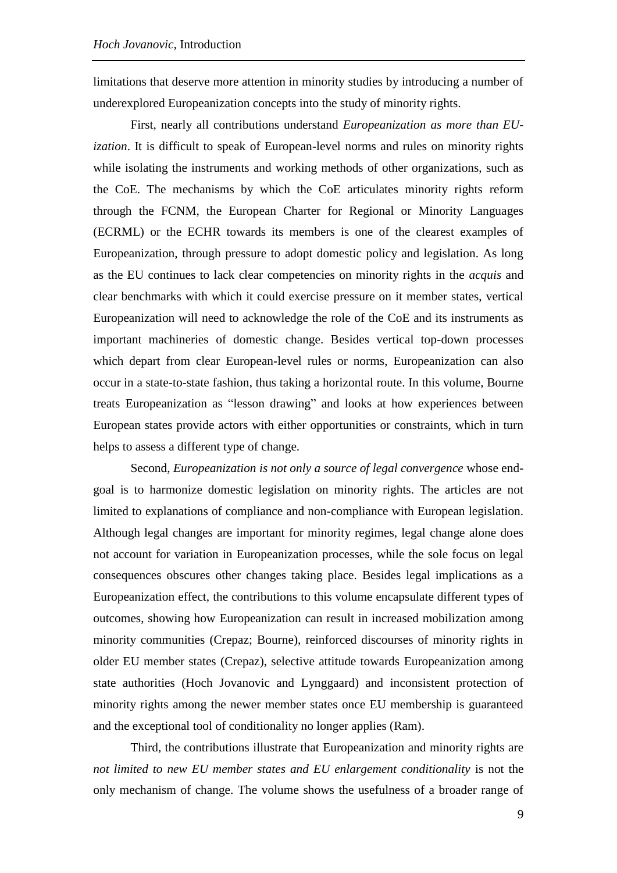limitations that deserve more attention in minority studies by introducing a number of underexplored Europeanization concepts into the study of minority rights.

First, nearly all contributions understand *Europeanization as more than EUization*. It is difficult to speak of European-level norms and rules on minority rights while isolating the instruments and working methods of other organizations, such as the CoE. The mechanisms by which the CoE articulates minority rights reform through the FCNM, the European Charter for Regional or Minority Languages (ECRML) or the ECHR towards its members is one of the clearest examples of Europeanization, through pressure to adopt domestic policy and legislation. As long as the EU continues to lack clear competencies on minority rights in the *acquis* and clear benchmarks with which it could exercise pressure on it member states, vertical Europeanization will need to acknowledge the role of the CoE and its instruments as important machineries of domestic change. Besides vertical top-down processes which depart from clear European-level rules or norms, Europeanization can also occur in a state-to-state fashion, thus taking a horizontal route. In this volume, Bourne treats Europeanization as "lesson drawing" and looks at how experiences between European states provide actors with either opportunities or constraints, which in turn helps to assess a different type of change.

Second, *Europeanization is not only a source of legal convergence* whose endgoal is to harmonize domestic legislation on minority rights. The articles are not limited to explanations of compliance and non-compliance with European legislation. Although legal changes are important for minority regimes, legal change alone does not account for variation in Europeanization processes, while the sole focus on legal consequences obscures other changes taking place. Besides legal implications as a Europeanization effect, the contributions to this volume encapsulate different types of outcomes, showing how Europeanization can result in increased mobilization among minority communities (Crepaz; Bourne), reinforced discourses of minority rights in older EU member states (Crepaz), selective attitude towards Europeanization among state authorities (Hoch Jovanovic and Lynggaard) and inconsistent protection of minority rights among the newer member states once EU membership is guaranteed and the exceptional tool of conditionality no longer applies (Ram).

Third, the contributions illustrate that Europeanization and minority rights are *not limited to new EU member states and EU enlargement conditionality is not the* only mechanism of change. The volume shows the usefulness of a broader range of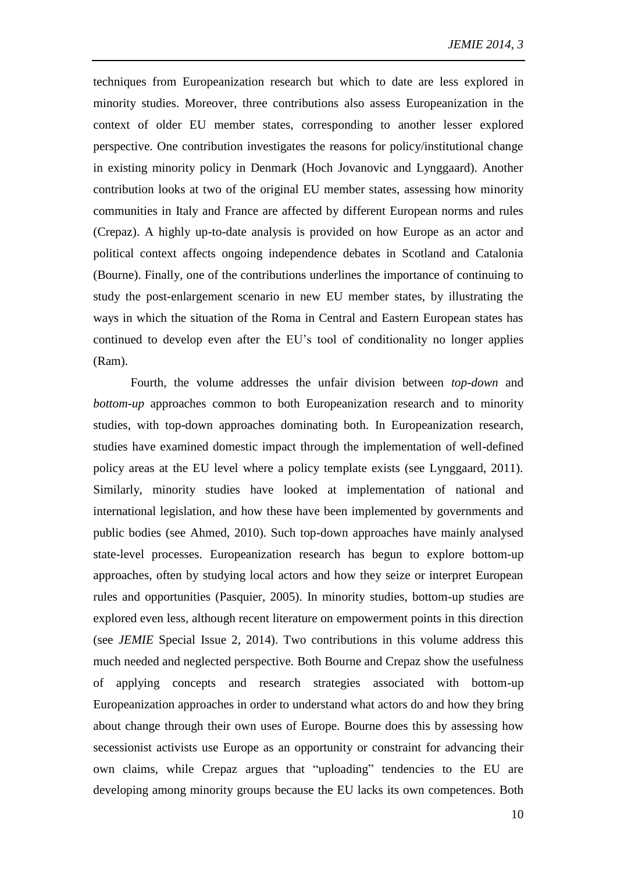techniques from Europeanization research but which to date are less explored in minority studies. Moreover, three contributions also assess Europeanization in the context of older EU member states, corresponding to another lesser explored perspective. One contribution investigates the reasons for policy/institutional change in existing minority policy in Denmark (Hoch Jovanovic and Lynggaard). Another contribution looks at two of the original EU member states, assessing how minority communities in Italy and France are affected by different European norms and rules (Crepaz). A highly up-to-date analysis is provided on how Europe as an actor and political context affects ongoing independence debates in Scotland and Catalonia (Bourne). Finally, one of the contributions underlines the importance of continuing to study the post-enlargement scenario in new EU member states, by illustrating the ways in which the situation of the Roma in Central and Eastern European states has continued to develop even after the EU's tool of conditionality no longer applies (Ram).

Fourth, the volume addresses the unfair division between *top-down* and *bottom-up* approaches common to both Europeanization research and to minority studies, with top-down approaches dominating both. In Europeanization research, studies have examined domestic impact through the implementation of well-defined policy areas at the EU level where a policy template exists (see Lynggaard, 2011). Similarly, minority studies have looked at implementation of national and international legislation, and how these have been implemented by governments and public bodies (see Ahmed, 2010). Such top-down approaches have mainly analysed state-level processes. Europeanization research has begun to explore bottom-up approaches, often by studying local actors and how they seize or interpret European rules and opportunities (Pasquier, 2005). In minority studies, bottom-up studies are explored even less, although recent literature on empowerment points in this direction (see *JEMIE* Special Issue 2, 2014). Two contributions in this volume address this much needed and neglected perspective. Both Bourne and Crepaz show the usefulness of applying concepts and research strategies associated with bottom-up Europeanization approaches in order to understand what actors do and how they bring about change through their own uses of Europe. Bourne does this by assessing how secessionist activists use Europe as an opportunity or constraint for advancing their own claims, while Crepaz argues that "uploading" tendencies to the EU are developing among minority groups because the EU lacks its own competences. Both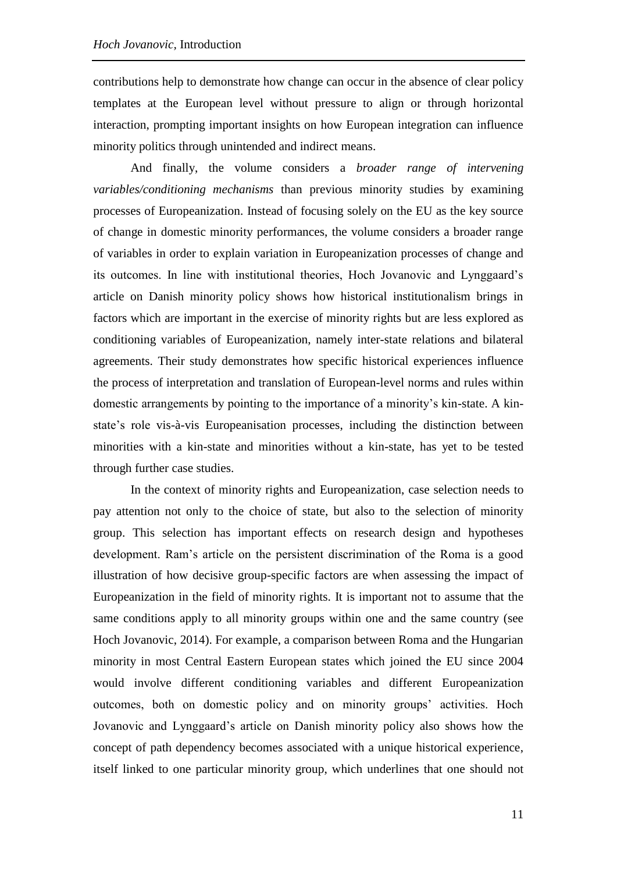contributions help to demonstrate how change can occur in the absence of clear policy templates at the European level without pressure to align or through horizontal interaction, prompting important insights on how European integration can influence minority politics through unintended and indirect means.

And finally, the volume considers a *broader range of intervening variables/conditioning mechanisms* than previous minority studies by examining processes of Europeanization. Instead of focusing solely on the EU as the key source of change in domestic minority performances, the volume considers a broader range of variables in order to explain variation in Europeanization processes of change and its outcomes. In line with institutional theories, Hoch Jovanovic and Lynggaard's article on Danish minority policy shows how historical institutionalism brings in factors which are important in the exercise of minority rights but are less explored as conditioning variables of Europeanization, namely inter-state relations and bilateral agreements. Their study demonstrates how specific historical experiences influence the process of interpretation and translation of European-level norms and rules within domestic arrangements by pointing to the importance of a minority's kin-state. A kinstate's role vis-à-vis Europeanisation processes, including the distinction between minorities with a kin-state and minorities without a kin-state, has yet to be tested through further case studies.

In the context of minority rights and Europeanization, case selection needs to pay attention not only to the choice of state, but also to the selection of minority group. This selection has important effects on research design and hypotheses development. Ram's article on the persistent discrimination of the Roma is a good illustration of how decisive group-specific factors are when assessing the impact of Europeanization in the field of minority rights. It is important not to assume that the same conditions apply to all minority groups within one and the same country (see Hoch Jovanovic, 2014). For example, a comparison between Roma and the Hungarian minority in most Central Eastern European states which joined the EU since 2004 would involve different conditioning variables and different Europeanization outcomes, both on domestic policy and on minority groups' activities. Hoch Jovanovic and Lynggaard's article on Danish minority policy also shows how the concept of path dependency becomes associated with a unique historical experience, itself linked to one particular minority group, which underlines that one should not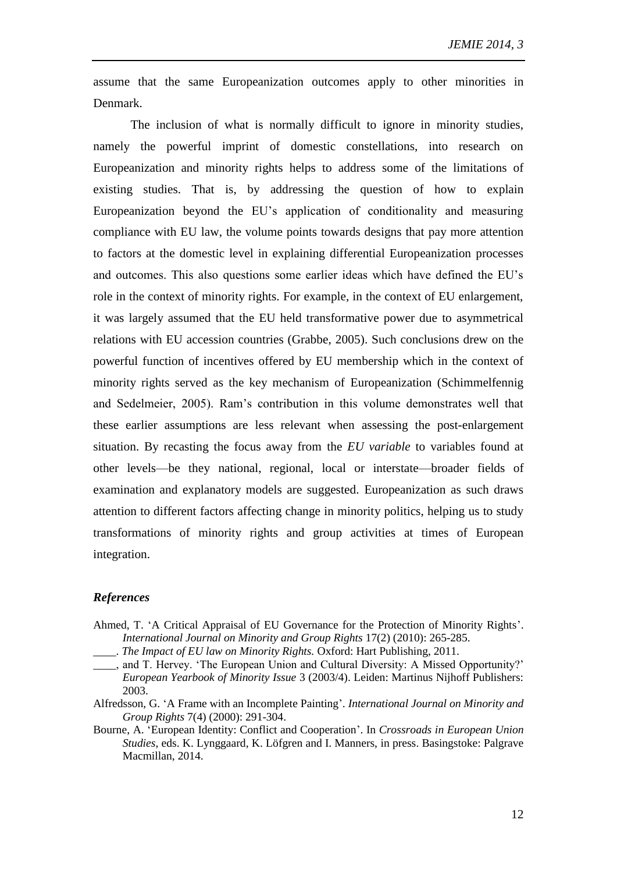assume that the same Europeanization outcomes apply to other minorities in Denmark.

The inclusion of what is normally difficult to ignore in minority studies, namely the powerful imprint of domestic constellations, into research on Europeanization and minority rights helps to address some of the limitations of existing studies. That is, by addressing the question of how to explain Europeanization beyond the EU's application of conditionality and measuring compliance with EU law, the volume points towards designs that pay more attention to factors at the domestic level in explaining differential Europeanization processes and outcomes. This also questions some earlier ideas which have defined the EU's role in the context of minority rights. For example, in the context of EU enlargement, it was largely assumed that the EU held transformative power due to asymmetrical relations with EU accession countries (Grabbe, 2005). Such conclusions drew on the powerful function of incentives offered by EU membership which in the context of minority rights served as the key mechanism of Europeanization (Schimmelfennig and Sedelmeier, 2005). Ram's contribution in this volume demonstrates well that these earlier assumptions are less relevant when assessing the post-enlargement situation. By recasting the focus away from the *EU variable* to variables found at other levels—be they national, regional, local or interstate—broader fields of examination and explanatory models are suggested. Europeanization as such draws attention to different factors affecting change in minority politics, helping us to study transformations of minority rights and group activities at times of European integration.

## *References*

- Ahmed, T. 'A Critical Appraisal of EU Governance for the Protection of Minority Rights'. *International Journal on Minority and Group Rights* 17(2) (2010): 265-285.
- \_\_\_\_. *The Impact of EU law on Minority Rights.* Oxford: Hart Publishing, 2011.
- \_\_\_\_, and T. Hervey. 'The European Union and Cultural Diversity: A Missed Opportunity?' *European Yearbook of Minority Issue* 3 (2003/4). Leiden: Martinus Nijhoff Publishers: 2003.
- Alfredsson, G. 'A Frame with an Incomplete Painting'. *International Journal on Minority and Group Rights* 7(4) (2000): 291-304.
- Bourne, A. 'European Identity: Conflict and Cooperation'. In *Crossroads in European Union Studies*, eds. K. Lynggaard, K. Löfgren and I. Manners, in press. Basingstoke: Palgrave Macmillan, 2014.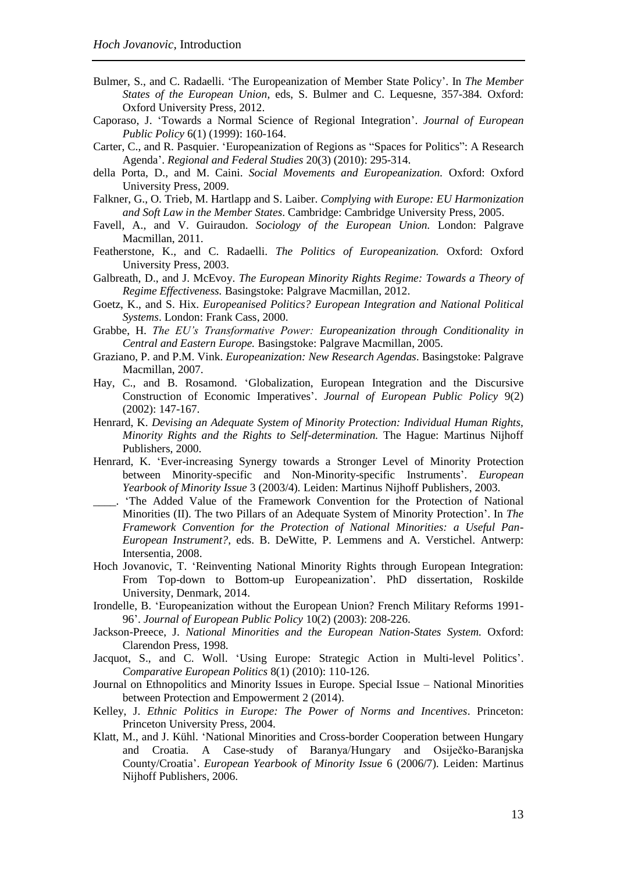- Bulmer, S., and C. Radaelli. 'The Europeanization of Member State Policy'. In *The Member States of the European Union*, eds, S. Bulmer and C. Lequesne, 357-384*.* Oxford: Oxford University Press, 2012.
- Caporaso, J. 'Towards a Normal Science of Regional Integration'. *Journal of European Public Policy* 6(1) (1999): 160-164.
- Carter, C., and R. Pasquier. 'Europeanization of Regions as "Spaces for Politics": A Research Agenda'. *Regional and Federal Studies* 20(3) (2010): 295-314.
- della Porta, D., and M. Caini. *Social Movements and Europeanization.* Oxford: Oxford University Press, 2009.
- Falkner, G., O. Trieb, M. Hartlapp and S. Laiber. *Complying with Europe: EU Harmonization and Soft Law in the Member States*. Cambridge: Cambridge University Press, 2005.
- Favell, A., and V. Guiraudon. *Sociology of the European Union.* London: Palgrave Macmillan, 2011.
- Featherstone, K., and C. Radaelli. *The Politics of Europeanization.* Oxford: Oxford University Press, 2003.
- Galbreath, D., and J. McEvoy. *The European Minority Rights Regime: Towards a Theory of Regime Effectiveness.* Basingstoke: Palgrave Macmillan, 2012.
- Goetz, K., and S. Hix. *Europeanised Politics? European Integration and National Political Systems*. London: Frank Cass, 2000.
- Grabbe, H. *The EU's Transformative Power: Europeanization through Conditionality in Central and Eastern Europe.* Basingstoke: Palgrave Macmillan, 2005.
- Graziano, P. and P.M. Vink. *Europeanization: New Research Agendas*. Basingstoke: Palgrave Macmillan, 2007.
- Hay, C., and B. Rosamond. 'Globalization, European Integration and the Discursive Construction of Economic Imperatives'. *Journal of European Public Policy* 9(2) (2002): 147-167.
- Henrard, K. *Devising an Adequate System of Minority Protection: Individual Human Rights, Minority Rights and the Rights to Self-determination.* The Hague: Martinus Nijhoff Publishers, 2000.
- Henrard, K. 'Ever-increasing Synergy towards a Stronger Level of Minority Protection between Minority-specific and Non-Minority-specific Instruments'. *European Yearbook of Minority Issue* 3 (2003/4)*.* Leiden: Martinus Nijhoff Publishers, 2003.
- \_\_\_\_. 'The Added Value of the Framework Convention for the Protection of National Minorities (II). The two Pillars of an Adequate System of Minority Protection'. In *The Framework Convention for the Protection of National Minorities: a Useful Pan-European Instrument?*, eds. B. DeWitte, P. Lemmens and A. Verstichel. Antwerp: Intersentia, 2008.
- Hoch Jovanovic, T. 'Reinventing National Minority Rights through European Integration: From Top-down to Bottom-up Europeanization'. PhD dissertation, Roskilde University, Denmark, 2014.
- Irondelle, B. 'Europeanization without the European Union? French Military Reforms 1991- 96'. *Journal of European Public Policy* 10(2) (2003): 208-226.
- Jackson-Preece, J. *National Minorities and the European Nation-States System.* Oxford: Clarendon Press, 1998.
- Jacquot, S., and C. Woll. 'Using Europe: Strategic Action in Multi-level Politics'. *Comparative European Politics* 8(1) (2010): 110-126.
- Journal on Ethnopolitics and Minority Issues in Europe. Special Issue National Minorities between Protection and Empowerment 2 (2014).
- Kelley, J. *Ethnic Politics in Europe: The Power of Norms and Incentives*. Princeton: Princeton University Press, 2004.
- Klatt, M., and J. Kühl. 'National Minorities and Cross-border Cooperation between Hungary and Croatia. A Case-study of Baranya/Hungary and Osiječko-Baranjska County/Croatia'. *European Yearbook of Minority Issue* 6 (2006/7). Leiden: Martinus Nijhoff Publishers, 2006.